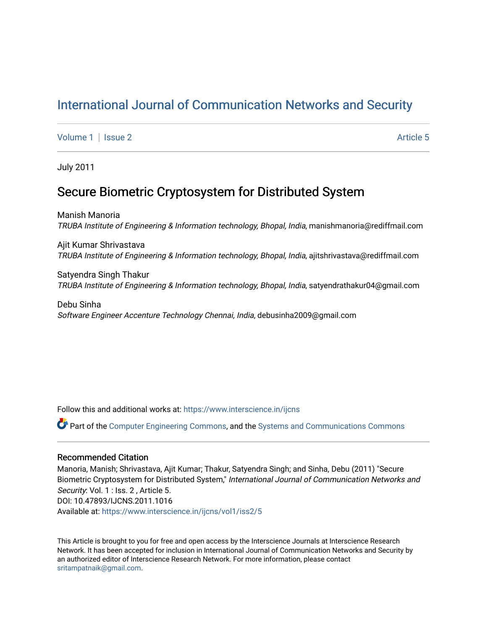# [International Journal of Communication Networks and Security](https://www.interscience.in/ijcns)

[Volume 1](https://www.interscience.in/ijcns/vol1) | [Issue 2](https://www.interscience.in/ijcns/vol1/iss2) Article 5

July 2011

## Secure Biometric Cryptosystem for Distributed System

Manish Manoria TRUBA Institute of Engineering & Information technology, Bhopal, India, manishmanoria@rediffmail.com

Ajit Kumar Shrivastava TRUBA Institute of Engineering & Information technology, Bhopal, India, ajitshrivastava@rediffmail.com

Satyendra Singh Thakur TRUBA Institute of Engineering & Information technology, Bhopal, India, satyendrathakur04@gmail.com

Debu Sinha Software Engineer Accenture Technology Chennai, India, debusinha2009@gmail.com

Follow this and additional works at: [https://www.interscience.in/ijcns](https://www.interscience.in/ijcns?utm_source=www.interscience.in%2Fijcns%2Fvol1%2Fiss2%2F5&utm_medium=PDF&utm_campaign=PDFCoverPages)

Part of the [Computer Engineering Commons,](http://network.bepress.com/hgg/discipline/258?utm_source=www.interscience.in%2Fijcns%2Fvol1%2Fiss2%2F5&utm_medium=PDF&utm_campaign=PDFCoverPages) and the [Systems and Communications Commons](http://network.bepress.com/hgg/discipline/276?utm_source=www.interscience.in%2Fijcns%2Fvol1%2Fiss2%2F5&utm_medium=PDF&utm_campaign=PDFCoverPages)

### Recommended Citation

Manoria, Manish; Shrivastava, Ajit Kumar; Thakur, Satyendra Singh; and Sinha, Debu (2011) "Secure Biometric Cryptosystem for Distributed System," International Journal of Communication Networks and Security: Vol. 1 : Iss. 2, Article 5. DOI: 10.47893/IJCNS.2011.1016 Available at: [https://www.interscience.in/ijcns/vol1/iss2/5](https://www.interscience.in/ijcns/vol1/iss2/5?utm_source=www.interscience.in%2Fijcns%2Fvol1%2Fiss2%2F5&utm_medium=PDF&utm_campaign=PDFCoverPages)

This Article is brought to you for free and open access by the Interscience Journals at Interscience Research Network. It has been accepted for inclusion in International Journal of Communication Networks and Security by an authorized editor of Interscience Research Network. For more information, please contact [sritampatnaik@gmail.com](mailto:sritampatnaik@gmail.com).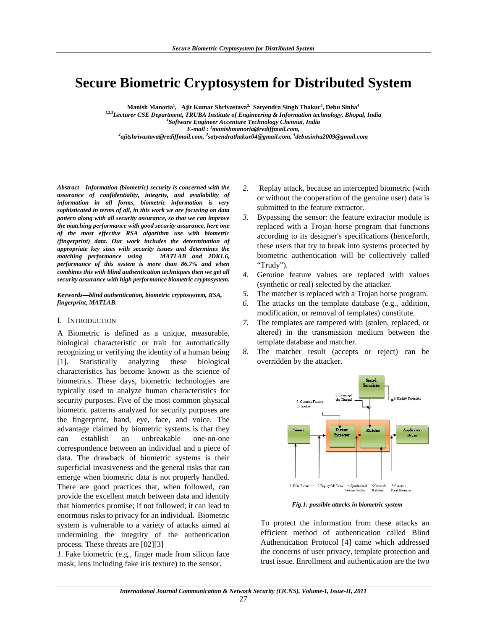# **Secure Biometric Cryptosystem for Distributed System**

**Manish Manoria<sup>1</sup> , Ajit Kumar Shrivastava2, Satyendra Singh Thakur3 , Debu Sinha<sup>4</sup>**

*1,2,3Lecturer CSE Department, TRUBA Institute of Engineering & Information technology, Bhopal, India 4 Software Engineer Accenture Technology Chennai, India E-mail* : <sup>1</sup> manishmanoria@rediffmail.com, *manishmanoria@rediffmail.com, 2 ajitshrivastava@rediffmail.com, 3 satyendrathakur04@gmail.com, 4 debusinha2009@gmail.com*

*Abstract—Information (biometric) security is concerned with the assurance of confidentiality, integrity, and availability of information in all forms, biometric information is very sophisticated in terms of all, in this work we are focusing on data pattern along with all security assurance, so that we can improve the matching performance with good security assurance, here one of the most effective RSA algorithm use with biometric (fingerprint) data. Our work includes the determination of appropriate key sizes with security issues and determines the matching performance using MATLAB and JDK1.6, performance of this system is more than 86.7% and when combines this with blind authentication techniques then we get all security assurance with high performance biometric cryptosystem.* 

*Keywords—blind authentication, biometric cryptosystem, RSA, fingerprint, MATLAB.* 

#### I. INTRODUCTION

A Biometric is defined as a unique, measurable, biological characteristic or trait for automatically recognizing or verifying the identity of a human being [1]. Statistically analyzing these biological characteristics has become known as the science of biometrics. These days, biometric technologies are typically used to analyze human characteristics for security purposes. Five of the most common physical biometric patterns analyzed for security purposes are the fingerprint, hand, eye, face, and voice. The advantage claimed by biometric systems is that they can establish an unbreakable one-on-one correspondence between an individual and a piece of data. The drawback of biometric systems is their superficial invasiveness and the general risks that can emerge when biometric data is not properly handled. There are good practices that, when followed, can provide the excellent match between data and identity that biometrics promise; if not followed; it can lead to enormous risks to privacy for an individual. Biometric system is vulnerable to a variety of attacks aimed at undermining the integrity of the authentication process. These threats are [02][3]

*1.* Fake biometric (e.g., finger made from silicon face mask, lens including fake iris texture) to the sensor.

- *2.* Replay attack, because an intercepted biometric (with or without the cooperation of the genuine user) data is submitted to the feature extractor.
- *3.* Bypassing the sensor: the feature extractor module is replaced with a Trojan horse program that functions according to its designer's specifications (henceforth, these users that try to break into systems protected by biometric authentication will be collectively called "Trudy").
- *4.* Genuine feature values are replaced with values (synthetic or real) selected by the attacker.
- *5.* The matcher is replaced with a Trojan horse program.
- *6.* The attacks on the template database (e.g., addition, modification, or removal of templates) constitute.
- *7.* The templates are tampered with (stolen, replaced, or altered) in the transmission medium between the template database and matcher.
- *8.* The matcher result (accepts or reject) can be overridden by the attacker.



*Fig.1: possible attacks in biometric system*

To protect the information from these attacks an efficient method of authentication called Blind Authentication Protocol [4] came which addressed the concerns of user privacy, template protection and trust issue. Enrollment and authentication are the two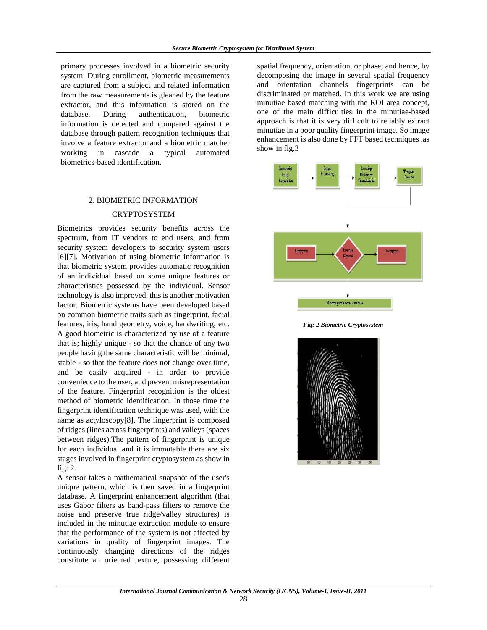primary processes involved in a biometric security system. During enrollment, biometric measurements are captured from a subject and related information from the raw measurements is gleaned by the feature extractor, and this information is stored on the database. During authentication, biometric information is detected and compared against the database through pattern recognition techniques that involve a feature extractor and a biometric matcher working in cascade a typical automated biometrics-based identification.

### 2. BIOMETRIC INFORMATION

### CRYPTOSYSTEM

Biometrics provides security benefits across the spectrum, from IT vendors to end users, and from security system developers to security system users [6][7]. Motivation of using biometric information is that biometric system provides automatic recognition of an individual based on some unique features or characteristics possessed by the individual. Sensor technology is also improved, this is another motivation factor. Biometric systems have been developed based on common biometric traits such as fingerprint, facial features, iris, hand geometry, voice, handwriting, etc. A good biometric is characterized by use of a feature that is; highly unique - so that the chance of any two people having the same characteristic will be minimal, stable - so that the feature does not change over time, and be easily acquired - in order to provide convenience to the user, and prevent misrepresentation of the feature. Fingerprint recognition is the oldest method of biometric identification. In those time the fingerprint identification technique was used, with the name as actyloscopy[8]. The fingerprint is composed of ridges (lines across fingerprints) and valleys (spaces between ridges).The pattern of fingerprint is unique for each individual and it is immutable there are six stages involved in fingerprint cryptosystem as show in fig: 2.

A sensor takes a mathematical snapshot of the user's unique pattern, which is then saved in a fingerprint database. A fingerprint enhancement algorithm (that uses Gabor filters as band-pass filters to remove the noise and preserve true ridge/valley structures) is included in the minutiae extraction module to ensure that the performance of the system is not affected by variations in quality of fingerprint images. The continuously changing directions of the ridges constitute an oriented texture, possessing different

spatial frequency, orientation, or phase; and hence, by decomposing the image in several spatial frequency and orientation channels fingerprints can be discriminated or matched. In this work we are using minutiae based matching with the ROI area concept, one of the main difficulties in the minutiae-based approach is that it is very difficult to reliably extract minutiae in a poor quality fingerprint image. So image enhancement is also done by FFT based techniques .as show in fig.3



*Fig: 2 Biometric Cryptosystem* 

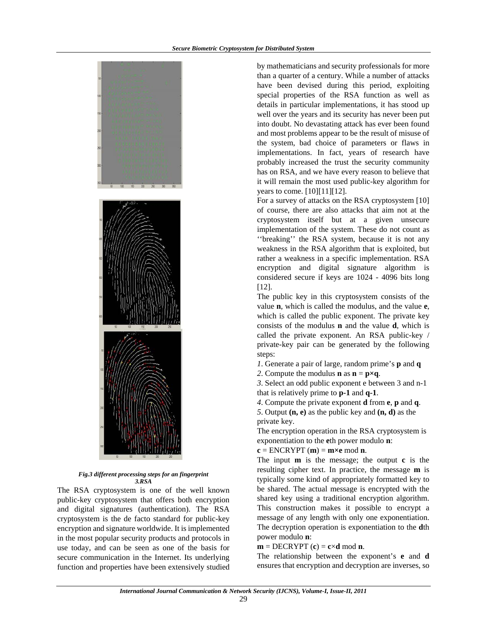

*Fig.3 different processing steps for an fingerprint 3.RSA* 

The RSA cryptosystem is one of the well known public-key cryptosystem that offers both encryption and digital signatures (authentication). The RSA cryptosystem is the de facto standard for public-key encryption and signature worldwide. It is implemented in the most popular security products and protocols in use today, and can be seen as one of the basis for secure communication in the Internet. Its underlying function and properties have been extensively studied

by mathematicians and security professionals for more than a quarter of a century. While a number of attacks have been devised during this period, exploiting special properties of the RSA function as well as details in particular implementations, it has stood up well over the years and its security has never been put into doubt. No devastating attack has ever been found and most problems appear to be the result of misuse of the system, bad choice of parameters or flaws in implementations. In fact, years of research have probably increased the trust the security community has on RSA, and we have every reason to believe that it will remain the most used public-key algorithm for years to come. [10][11][12].

For a survey of attacks on the RSA cryptosystem [10] of course, there are also attacks that aim not at the cryptosystem itself but at a given unsecure implementation of the system. These do not count as ''breaking'' the RSA system, because it is not any weakness in the RSA algorithm that is exploited, but rather a weakness in a specific implementation. RSA encryption and digital signature algorithm is considered secure if keys are 1024 - 4096 bits long [12].

The public key in this cryptosystem consists of the value **n**, which is called the modulus, and the value **e**, which is called the public exponent. The private key consists of the modulus **n** and the value **d**, which is called the private exponent. An RSA public-key / private-key pair can be generated by the following steps:

*1*. Generate a pair of large, random prime's **p** and **q** 

2. Compute the modulus **n** as  $\mathbf{n} = \mathbf{p} \times \mathbf{q}$ .

*3*. Select an odd public exponent e between 3 and n-1 that is relatively prime to **p-1** and **q-1**.

*4*. Compute the private exponent **d** from **e**, **p** and **q**.

*5*. Output **(n, e)** as the public key and **(n, d)** as the private key.

The encryption operation in the RSA cryptosystem is exponentiation to the **e**th power modulo **n**:

$$
c = ENCRYPT(m) = m \times e \mod n.
$$

The input **m** is the message; the output **c** is the resulting cipher text. In practice, the message **m** is typically some kind of appropriately formatted key to be shared. The actual message is encrypted with the shared key using a traditional encryption algorithm. This construction makes it possible to encrypt a message of any length with only one exponentiation. The decryption operation is exponentiation to the **d**th power modulo **n**:

**.** 

The relationship between the exponent's **e** and **d**  ensures that encryption and decryption are inverses, so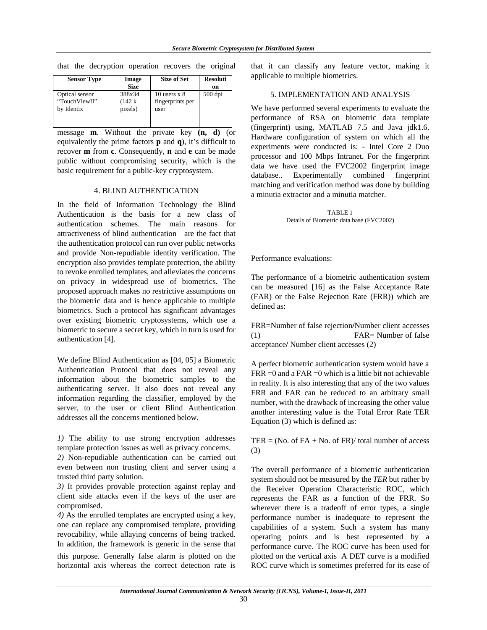| <b>Sensor Type</b> | Image<br><b>Size</b> | <b>Size of Set</b> | <b>Resoluti</b><br>on |
|--------------------|----------------------|--------------------|-----------------------|
| Optical sensor     | 388x34               | 10 users $x$ 8     | $500$ dpi             |
| "TouchViewII"      | $(142 \text{ k})$    | fingerprints per   |                       |
| by Identix         | pixels)              | user               |                       |

that the decryption operation recovers the original

message **m**. Without the private key **(n, d)** (or equivalently the prime factors **p** and **q**), it's difficult to recover **m** from **c**. Consequently, **n** and **e** can be made public without compromising security, which is the basic requirement for a public-key cryptosystem.

#### 4. BLIND AUTHENTICATION

In the field of Information Technology the Blind Authentication is the basis for a new class of authentication schemes. The main reasons for attractiveness of blind authentication are the fact that the authentication protocol can run over public networks and provide Non-repudiable identity verification. The encryption also provides template protection, the ability to revoke enrolled templates, and alleviates the concerns on privacy in widespread use of biometrics. The proposed approach makes no restrictive assumptions on the biometric data and is hence applicable to multiple biometrics. Such a protocol has significant advantages over existing biometric cryptosystems, which use a biometric to secure a secret key, which in turn is used for authentication [4].

We define Blind Authentication as [04, 05] a Biometric Authentication Protocol that does not reveal any information about the biometric samples to the authenticating server. It also does not reveal any information regarding the classifier, employed by the server, to the user or client Blind Authentication addresses all the concerns mentioned below.

*1)* The ability to use strong encryption addresses template protection issues as well as privacy concerns.

*2)* Non-repudiable authentication can be carried out even between non trusting client and server using a trusted third party solution.

*3)* It provides provable protection against replay and client side attacks even if the keys of the user are compromised.

*4)* As the enrolled templates are encrypted using a key, one can replace any compromised template, providing revocability, while allaying concerns of being tracked. In addition, the framework is generic in the sense that this purpose. Generally false alarm is plotted on the horizontal axis whereas the correct detection rate is

that it can classify any feature vector, making it applicable to multiple biometrics.

#### 5. IMPLEMENTATION AND ANALYSIS

We have performed several experiments to evaluate the performance of RSA on biometric data template (fingerprint) using, MATLAB 7.5 and Java jdk1.6. Hardware configuration of system on which all the experiments were conducted is: - Intel Core 2 Duo processor and 100 Mbps Intranet. For the fingerprint data we have used the FVC2002 fingerprint image database.. Experimentally combined fingerprint matching and verification method was done by building a minutia extractor and a minutia matcher.

> TABLE 1 Details of Biometric data base (FVC2002)

Performance evaluations:

The performance of a biometric authentication system can be measured [16] as the False Acceptance Rate (FAR) or the False Rejection Rate (FRR)) which are defined as:

FRR=Number of false rejection**/**Number client accesses (1) FAR= Number of false acceptance**/** Number client accesses (2)

A perfect biometric authentication system would have a  $FRR = 0$  and a  $FAR = 0$  which is a little bit not achievable in reality. It is also interesting that any of the two values FRR and FAR can be reduced to an arbitrary small number, with the drawback of increasing the other value another interesting value is the Total Error Rate TER Equation (3) which is defined as:

TER = (No. of FA + No. of FR)/ total number of access (3)

The overall performance of a biometric authentication system should not be measured by the *TER* but rather by the Receiver Operation Characteristic ROC, which represents the FAR as a function of the FRR. So wherever there is a tradeoff of error types, a single performance number is inadequate to represent the capabilities of a system. Such a system has many operating points and is best represented by a performance curve. The ROC curve has been used for plotted on the vertical axis A DET curve is a modified ROC curve which is sometimes preferred for its ease of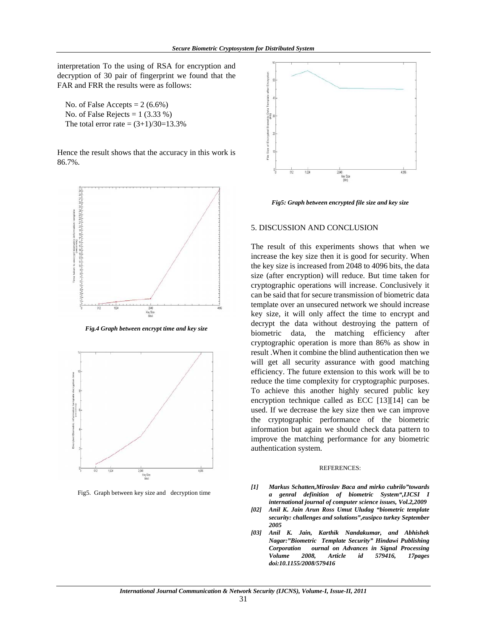interpretation To the using of RSA for encryption and decryption of 30 pair of fingerprint we found that the FAR and FRR the results were as follows:

No. of False Accepts  $= 2 (6.6\%)$ No. of False Rejects =  $1(3.33\%)$ The total error rate =  $(3+1)/30=13.3%$ 

Hence the result shows that the accuracy in this work is 86.7%.



*Fig.4 Graph between encrypt time and key size* 



Fig5. Graph between key size and decryption time



*Fig5: Graph between encrypted file size and key size* 

#### 5. DISCUSSION AND CONCLUSION

The result of this experiments shows that when we increase the key size then it is good for security. When the key size is increased from 2048 to 4096 bits, the data size (after encryption) will reduce. But time taken for cryptographic operations will increase. Conclusively it can be said that for secure transmission of biometric data template over an unsecured network we should increase key size, it will only affect the time to encrypt and decrypt the data without destroying the pattern of biometric data, the matching efficiency after cryptographic operation is more than 86% as show in result .When it combine the blind authentication then we will get all security assurance with good matching efficiency. The future extension to this work will be to reduce the time complexity for cryptographic purposes. To achieve this another highly secured public key encryption technique called as ECC [13][14] can be used. If we decrease the key size then we can improve the cryptographic performance of the biometric information but again we should check data pattern to improve the matching performance for any biometric authentication system.

#### REFERENCES:

- *[1] Markus Schatten,Miroslav Baca and mirko cubrilo"towards a genral definition of biometric System",IJCSI I international journal of computer science issues, Vol.2,2009*
- *[02] Anil K. Jain Arun Ross Umut Uludag "biometric template security: challenges and solutions",eusipco turkey September 2005*
- *[03] Anil K. Jain, Karthik Nandakumar, and Abhishek Nagar:"Biometric Template Security" Hindawi Publishing Corporation ournal on Advances in Signal Processing Volume 2008, Article id 579416, 17pages doi:10.1155/2008/579416*